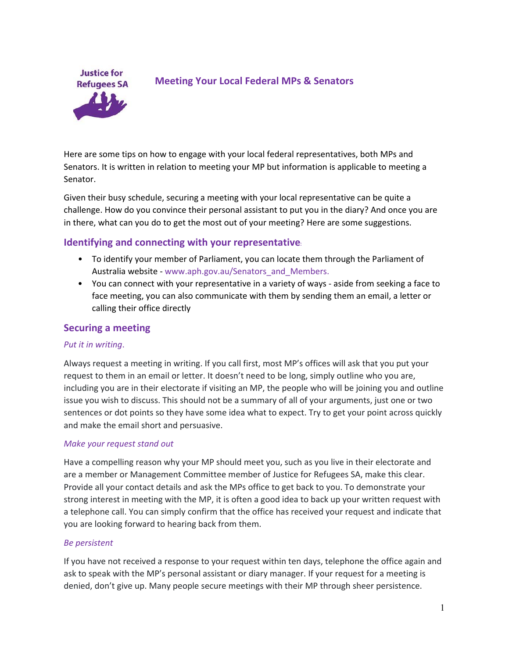

# **Meeting Your Local Federal MPs & Senators**

Here are some tips on how to engage with your local federal representatives, both MPs and Senators. It is written in relation to meeting your MP but information is applicable to meeting a Senator.

Given their busy schedule, securing a meeting with your local representative can be quite a challenge. How do you convince their personal assistant to put you in the diary? And once you are in there, what can you do to get the most out of your meeting? Here are some suggestions.

## **Identifying and connecting with your representative**:

- To identify your member of Parliament, you can locate them through the Parliament of Australia website - www.aph.gov.au/Senators\_and\_Members.
- You can connect with your representative in a variety of ways aside from seeking a face to face meeting, you can also communicate with them by sending them an email, a letter or calling their office directly

### **Securing a meeting**

### *Put it in writing*.

Always request a meeting in writing. If you call first, most MP's offices will ask that you put your request to them in an email or letter. It doesn't need to be long, simply outline who you are, including you are in their electorate if visiting an MP, the people who will be joining you and outline issue you wish to discuss. This should not be a summary of all of your arguments, just one or two sentences or dot points so they have some idea what to expect. Try to get your point across quickly and make the email short and persuasive.

### *Make your request stand out*

Have a compelling reason why your MP should meet you, such as you live in their electorate and are a member or Management Committee member of Justice for Refugees SA, make this clear. Provide all your contact details and ask the MPs office to get back to you. To demonstrate your strong interest in meeting with the MP, it is often a good idea to back up your written request with a telephone call. You can simply confirm that the office has received your request and indicate that you are looking forward to hearing back from them.

#### *Be persistent*

If you have not received a response to your request within ten days, telephone the office again and ask to speak with the MP's personal assistant or diary manager. If your request for a meeting is denied, don't give up. Many people secure meetings with their MP through sheer persistence.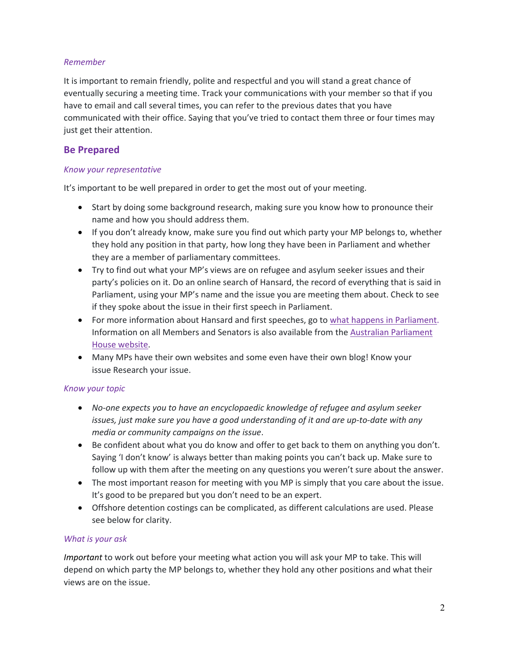### *Remember*

It is important to remain friendly, polite and respectful and you will stand a great chance of eventually securing a meeting time. Track your communications with your member so that if you have to email and call several times, you can refer to the previous dates that you have communicated with their office. Saying that you've tried to contact them three or four times may just get their attention.

# **Be Prepared**

### *Know your representative*

It's important to be well prepared in order to get the most out of your meeting.

- Start by doing some background research, making sure you know how to pronounce their name and how you should address them.
- If you don't already know, make sure you find out which party your MP belongs to, whether they hold any position in that party, how long they have been in Parliament and whether they are a member of parliamentary committees.
- Try to find out what your MP's views are on refugee and asylum seeker issues and their party's policies on it. Do an online search of Hansard, the record of everything that is said in Parliament, using your MP's name and the issue you are meeting them about. Check to see if they spoke about the issue in their first speech in Parliament.
- For more information about Hansard and first speeches, go to what happens in Parliament. Information on all Members and Senators is also available from the Australian Parliament House website.
- Many MPs have their own websites and some even have their own blog! Know your issue Research your issue.

## *Know your topic*

- *No‐one expects you to have an encyclopaedic knowledge of refugee and asylum seeker issues, just make sure you have a good understanding of it and are up‐to‐date with any media or community campaigns on the issue*.
- Be confident about what you do know and offer to get back to them on anything you don't. Saying 'I don't know' is always better than making points you can't back up. Make sure to follow up with them after the meeting on any questions you weren't sure about the answer.
- The most important reason for meeting with you MP is simply that you care about the issue. It's good to be prepared but you don't need to be an expert.
- Offshore detention costings can be complicated, as different calculations are used. Please see below for clarity.

## *What is your ask*

*Important* to work out before your meeting what action you will ask your MP to take. This will depend on which party the MP belongs to, whether they hold any other positions and what their views are on the issue.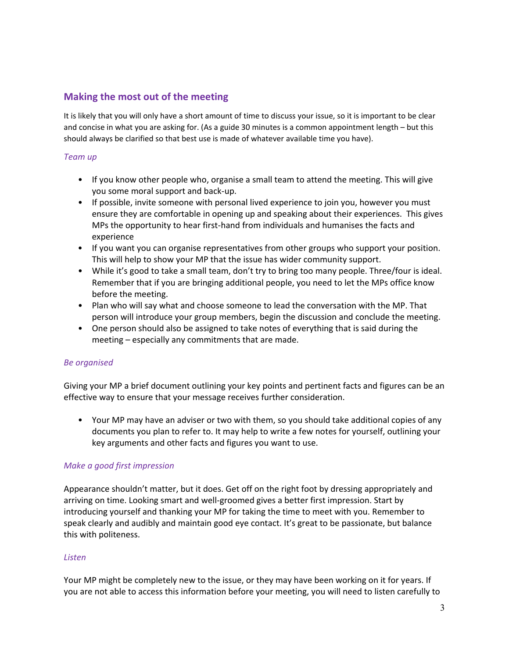## **Making the most out of the meeting**

It is likely that you will only have a short amount of time to discuss your issue, so it is important to be clear and concise in what you are asking for. (As a guide 30 minutes is a common appointment length – but this should always be clarified so that best use is made of whatever available time you have).

### *Team up*

- If you know other people who, organise a small team to attend the meeting. This will give you some moral support and back‐up.
- If possible, invite someone with personal lived experience to join you, however you must ensure they are comfortable in opening up and speaking about their experiences. This gives MPs the opportunity to hear first‐hand from individuals and humanises the facts and experience
- If you want you can organise representatives from other groups who support your position. This will help to show your MP that the issue has wider community support.
- While it's good to take a small team, don't try to bring too many people. Three/four is ideal. Remember that if you are bringing additional people, you need to let the MPs office know before the meeting.
- Plan who will say what and choose someone to lead the conversation with the MP. That person will introduce your group members, begin the discussion and conclude the meeting.
- One person should also be assigned to take notes of everything that is said during the meeting – especially any commitments that are made.

### *Be organised*

Giving your MP a brief document outlining your key points and pertinent facts and figures can be an effective way to ensure that your message receives further consideration.

• Your MP may have an adviser or two with them, so you should take additional copies of any documents you plan to refer to. It may help to write a few notes for yourself, outlining your key arguments and other facts and figures you want to use.

### *Make a good first impression*

Appearance shouldn't matter, but it does. Get off on the right foot by dressing appropriately and arriving on time. Looking smart and well‐groomed gives a better first impression. Start by introducing yourself and thanking your MP for taking the time to meet with you. Remember to speak clearly and audibly and maintain good eye contact. It's great to be passionate, but balance this with politeness.

### *Listen*

Your MP might be completely new to the issue, or they may have been working on it for years. If you are not able to access this information before your meeting, you will need to listen carefully to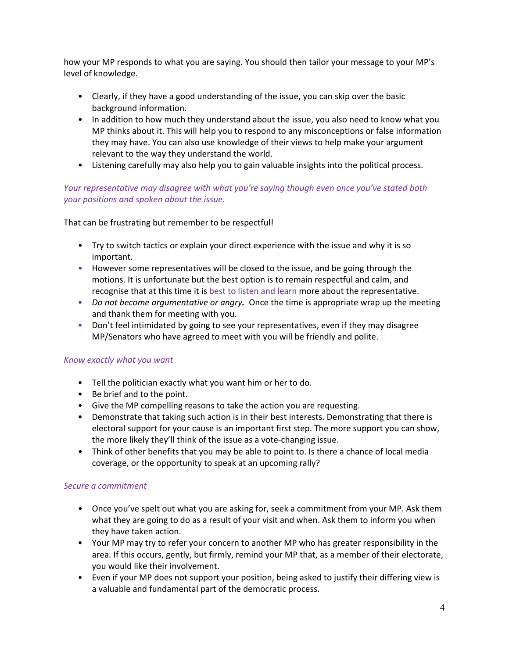how your MP responds to what you are saying. You should then tailor your message to your MP's level of knowledge.

- Clearly, if they have a good understanding of the issue, you can skip over the basic background information.
- In addition to how much they understand about the issue, you also need to know what you MP thinks about it. This will help you to respond to any misconceptions or false information they may have. You can also use knowledge of their views to help make your argument relevant to the way they understand the world.
- Listening carefully may also help you to gain valuable insights into the political process.

## *Your representative may disagree with what you're saying though even once you've stated both your positions and spoken about the issue.*

That can be frustrating but remember to be respectful!

- Try to switch tactics or explain your direct experience with the issue and why it is so important.
- However some representatives will be closed to the issue, and be going through the motions. It is unfortunate but the best option is to remain respectful and calm, and recognise that at this time it is best to listen and learn more about the representative.
- *Do not become argumentative or angry.* Once the time is appropriate wrap up the meeting and thank them for meeting with you.
- Don't feel intimidated by going to see your representatives, even if they may disagree MP/Senators who have agreed to meet with you will be friendly and polite.

### *Know exactly what you want*

- Tell the politician exactly what you want him or her to do.
- Be brief and to the point.
- Give the MP compelling reasons to take the action you are requesting.
- Demonstrate that taking such action is in their best interests. Demonstrating that there is electoral support for your cause is an important first step. The more support you can show, the more likely they'll think of the issue as a vote‐changing issue.
- Think of other benefits that you may be able to point to. Is there a chance of local media coverage, or the opportunity to speak at an upcoming rally?

### *Secure a commitment*

- Once you've spelt out what you are asking for, seek a commitment from your MP. Ask them what they are going to do as a result of your visit and when. Ask them to inform you when they have taken action.
- Your MP may try to refer your concern to another MP who has greater responsibility in the area. If this occurs, gently, but firmly, remind your MP that, as a member of their electorate, you would like their involvement.
- Even if your MP does not support your position, being asked to justify their differing view is a valuable and fundamental part of the democratic process.